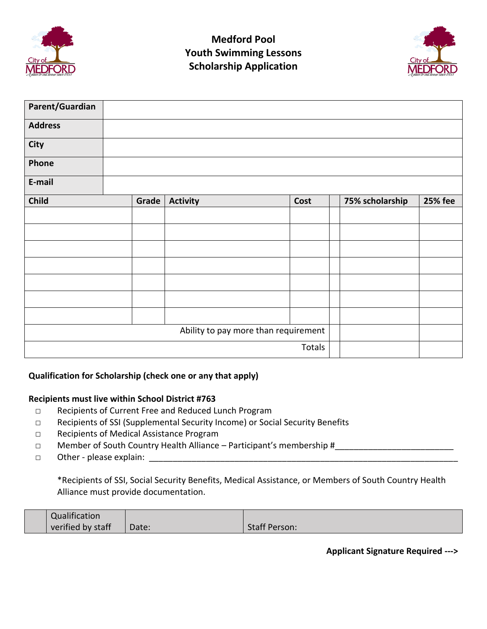



| Parent/Guardian |       |                 |                                      |      |                 |                |
|-----------------|-------|-----------------|--------------------------------------|------|-----------------|----------------|
| <b>Address</b>  |       |                 |                                      |      |                 |                |
| <b>City</b>     |       |                 |                                      |      |                 |                |
| Phone           |       |                 |                                      |      |                 |                |
| E-mail          |       |                 |                                      |      |                 |                |
| Child           | Grade | <b>Activity</b> |                                      | Cost | 75% scholarship | <b>25% fee</b> |
|                 |       |                 |                                      |      |                 |                |
|                 |       |                 |                                      |      |                 |                |
|                 |       |                 |                                      |      |                 |                |
|                 |       |                 |                                      |      |                 |                |
|                 |       |                 |                                      |      |                 |                |
|                 |       |                 |                                      |      |                 |                |
|                 |       |                 |                                      |      |                 |                |
|                 |       |                 | Ability to pay more than requirement |      |                 |                |
| Totals          |       |                 |                                      |      |                 |                |

## **Qualification for Scholarship (check one or any that apply)**

## **Recipients must live within School District #763**

- □ Recipients of Current Free and Reduced Lunch Program
- □ Recipients of SSI (Supplemental Security Income) or Social Security Benefits
- □ Recipients of Medical Assistance Program
- □ Member of South Country Health Alliance Participant's membership #\_\_\_\_\_\_\_\_\_\_\_\_\_\_\_\_\_\_\_\_\_\_\_\_\_
- □ Other please explain: \_\_\_\_\_\_\_\_\_\_\_\_\_\_\_\_\_\_\_\_\_\_\_\_\_\_\_\_\_\_\_\_\_\_\_\_\_\_\_\_\_\_\_\_\_\_\_\_\_\_\_\_\_\_\_\_\_\_\_\_\_\_\_\_\_

\*Recipients of SSI, Social Security Benefits, Medical Assistance, or Members of South Country Health Alliance must provide documentation.

| Qualification     |       |               |
|-------------------|-------|---------------|
| verified by staff | Date: | Staff Person: |

**Applicant Signature Required --->**